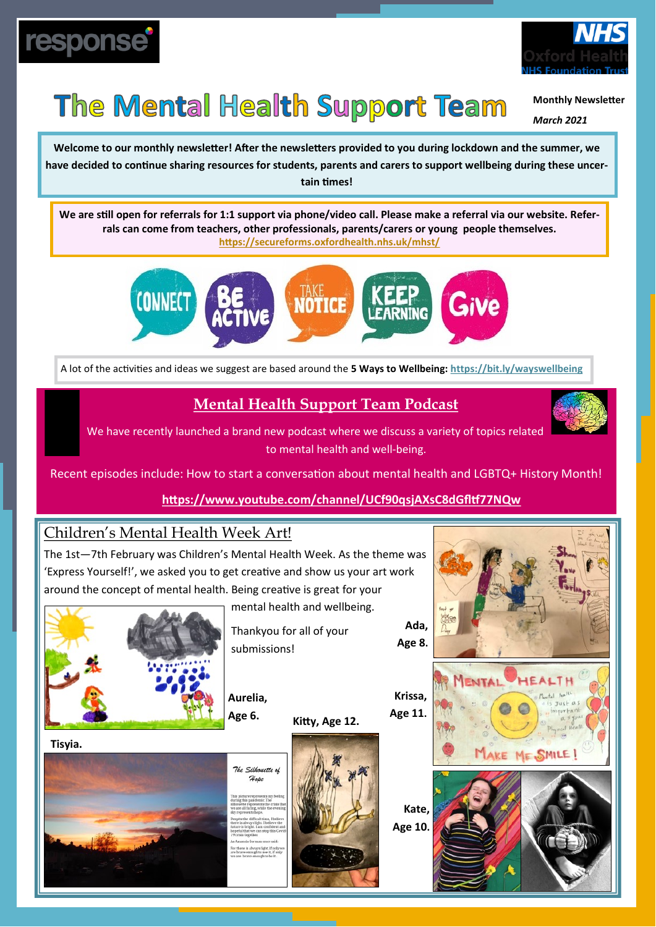



## The Mental Health Support Team

**Monthly Newsletter**

*March 2021*

**Welcome to our monthly newsletter! After the newsletters provided to you during lockdown and the summer, we have decided to continue sharing resources for students, parents and carers to support wellbeing during these uncertain times!**

**We are still open for referrals for 1:1 support via phone/video call. Please make a referral via our website. Referrals can come from teachers, other professionals, parents/carers or young people themselves. <https://secureforms.oxfordhealth.nhs.uk/mhst/>**



A lot of the activities and ideas we suggest are based around the **5 Ways to Wellbeing: <https://bit.ly/wayswellbeing>**

### **Mental Health Support Team Podcast**

We have recently launched a brand new podcast where we discuss a variety of topics related to mental health and well-being.



Recent episodes include: How to start a conversation about mental health and LGBTQ+ History Month!

#### **<https://www.youtube.com/channel/UCf90qsjAXsC8dGfltf77NQw>**

#### Children's Mental Health Week Art!

The 1st—7th February was Children's Mental Health Week. As the theme was 'Express Yourself!', we asked you to get creative and show us your art work around the concept of mental health. Being creative is great for your



mental health and wellbeing.

Thankyou for all of your submissions!

**Aurelia, Age 6.**

**Kitty, Age 12.** 

**Krissa, Age 11.** 

> **Kate, Age 10.**





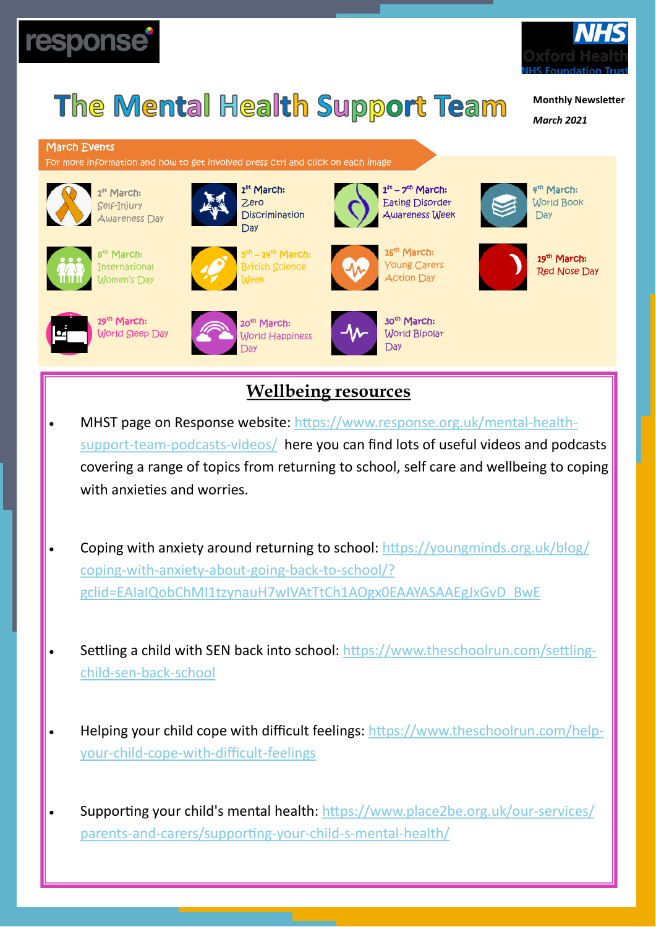



**Monthly Newsletter**

*March 2021*

#### March Events

For more information and how to get involved press ctrl and click on each image



1<sup>st</sup> March: Self-Injury Awareness Day



8<sup>th</sup> March: International Women's Day



<sup>th</sup> – 14<sup>th</sup> March: British Science

**Discrimination** 

1 st March: Zero



1st – 7<sup>th</sup> March:



4<sup>th</sup> March: World Book Day



19<sup>th</sup> March:



19<sup>th</sup> March: World Sleep Day

with anxieties and worries.

child-sen-back-[school](https://www.theschoolrun.com/settling-child-sen-back-school)

your-child-cope-with-difficult-[feelings](https://www.theschoolrun.com/help-your-child-cope-with-difficult-feelings)



coping-with-anxiety-about-going-back-to-[school/?](https://youngminds.org.uk/blog/coping-with-anxiety-about-going-back-to-school/?gclid=EAIaIQobChMI1tzynauH7wIVAtTtCh1AOgx0EAAYASAAEgJxGvD_BwE)

Day





Red Nose Day

# World Happiness



**Wellbeing resources** 

• MHST page on Response website: [https://www.response.org.uk/mental](https://www.response.org.uk/mental-health-support-team-podcasts-videos/)-health-

support-team-[podcasts](https://www.response.org.uk/mental-health-support-team-podcasts-videos/)-videos/ here you can find lots of useful videos and podcasts

covering a range of topics from returning to school, self care and wellbeing to coping

• Coping with anxiety around returning to school: [https://youngminds.org.uk/blog/](https://youngminds.org.uk/blog/coping-with-anxiety-about-going-back-to-school/?gclid=EAIaIQobChMI1tzynauH7wIVAtTtCh1AOgx0EAAYASAAEgJxGvD_BwE)

• Settling a child with SEN back into school: [https://www.theschoolrun.com/settling](https://www.theschoolrun.com/settling-child-sen-back-school)-

• Helping your child cope with difficult feelings: [https://www.theschoolrun.com/help](https://www.theschoolrun.com/help-your-child-cope-with-difficult-feelings)-

• Supporting your child's mental health: [https://www.place2be.org.uk/our](https://www.place2be.org.uk/our-services/parents-and-carers/supporting-your-child-s-mental-health/)-services/

parents-and-[carers/supporting](https://www.place2be.org.uk/our-services/parents-and-carers/supporting-your-child-s-mental-health/)-your-child-s-mental-health/

[gclid=EAIaIQobChMI1tzynauH7wIVAtTtCh1AOgx0EAAYASAAEgJxGvD\\_BwE](https://youngminds.org.uk/blog/coping-with-anxiety-about-going-back-to-school/?gclid=EAIaIQobChMI1tzynauH7wIVAtTtCh1AOgx0EAAYASAAEgJxGvD_BwE)

World Bipolar